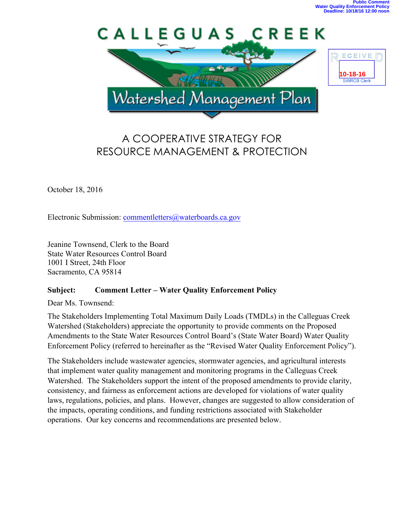

# A COOPERATIVE STRATEGY FOR RESOURCE MANAGEMENT & PROTECTION

October 18, 2016

Electronic Submission: commentletters@waterboards.ca.gov

Jeanine Townsend, Clerk to the Board State Water Resources Control Board 1001 I Street, 24th Floor Sacramento, CA 95814

# **Subject: Comment Letter – Water Quality Enforcement Policy**

Dear Ms. Townsend:

The Stakeholders Implementing Total Maximum Daily Loads (TMDLs) in the Calleguas Creek Watershed (Stakeholders) appreciate the opportunity to provide comments on the Proposed Amendments to the State Water Resources Control Board's (State Water Board) Water Quality Enforcement Policy (referred to hereinafter as the "Revised Water Quality Enforcement Policy").

The Stakeholders include wastewater agencies, stormwater agencies, and agricultural interests that implement water quality management and monitoring programs in the Calleguas Creek Watershed. The Stakeholders support the intent of the proposed amendments to provide clarity, consistency, and fairness as enforcement actions are developed for violations of water quality laws, regulations, policies, and plans. However, changes are suggested to allow consideration of the impacts, operating conditions, and funding restrictions associated with Stakeholder operations. Our key concerns and recommendations are presented below.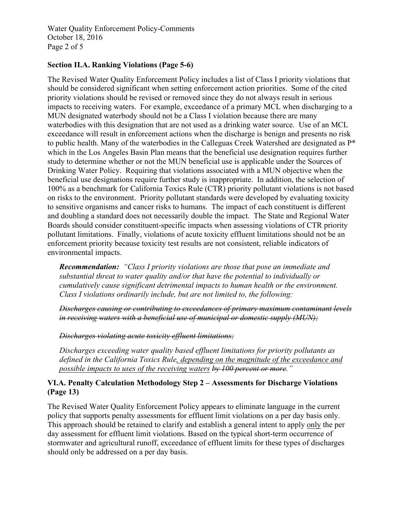Water Quality Enforcement Policy-Comments October 18, 2016 Page 2 of 5

# **Section II.A. Ranking Violations (Page 5-6)**

The Revised Water Quality Enforcement Policy includes a list of Class I priority violations that should be considered significant when setting enforcement action priorities. Some of the cited priority violations should be revised or removed since they do not always result in serious impacts to receiving waters. For example, exceedance of a primary MCL when discharging to a MUN designated waterbody should not be a Class I violation because there are many waterbodies with this designation that are not used as a drinking water source. Use of an MCL exceedance will result in enforcement actions when the discharge is benign and presents no risk to public health. Many of the waterbodies in the Calleguas Creek Watershed are designated as P\* which in the Los Angeles Basin Plan means that the beneficial use designation requires further study to determine whether or not the MUN beneficial use is applicable under the Sources of Drinking Water Policy. Requiring that violations associated with a MUN objective when the beneficial use designations require further study is inappropriate. In addition, the selection of 100% as a benchmark for California Toxics Rule (CTR) priority pollutant violations is not based on risks to the environment. Priority pollutant standards were developed by evaluating toxicity to sensitive organisms and cancer risks to humans. The impact of each constituent is different and doubling a standard does not necessarily double the impact. The State and Regional Water Boards should consider constituent-specific impacts when assessing violations of CTR priority pollutant limitations. Finally, violations of acute toxicity effluent limitations should not be an enforcement priority because toxicity test results are not consistent, reliable indicators of environmental impacts.

*Recommendation: "Class I priority violations are those that pose an immediate and substantial threat to water quality and/or that have the potential to individually or cumulatively cause significant detrimental impacts to human health or the environment. Class I violations ordinarily include, but are not limited to, the following:*

*Discharges causing or contributing to exceedances of primary maximum contaminant levels in receiving waters with a beneficial use of municipal or domestic supply (MUN);*

*Discharges violating acute toxicity effluent limitations;*

*Discharges exceeding water quality based effluent limitations for priority pollutants as defined in the California Toxics Rule, depending on the magnitude of the exceedance and possible impacts to uses of the receiving waters by 100 percent or more."*

# **VI.A. Penalty Calculation Methodology Step 2 – Assessments for Discharge Violations (Page 13)**

The Revised Water Quality Enforcement Policy appears to eliminate language in the current policy that supports penalty assessments for effluent limit violations on a per day basis only. This approach should be retained to clarify and establish a general intent to apply only the per day assessment for effluent limit violations. Based on the typical short-term occurrence of stormwater and agricultural runoff, exceedance of effluent limits for these types of discharges should only be addressed on a per day basis.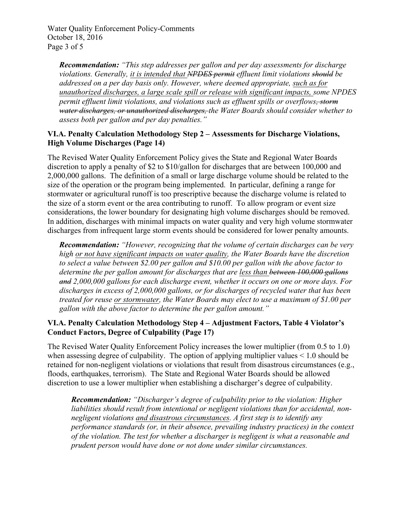Water Quality Enforcement Policy-Comments October 18, 2016 Page 3 of 5

*Recommendation: "This step addresses per gallon and per day assessments for discharge violations. Generally, it is intended that NPDES permit effluent limit violations should be addressed on a per day basis only. However, where deemed appropriate, such as for unauthorized discharges, a large scale spill or release with significant impacts, some NPDES permit effluent limit violations, and violations such as effluent spills or overflows, storm water discharges, or unauthorized discharges, the Water Boards should consider whether to assess both per gallon and per day penalties."*

#### **VI.A. Penalty Calculation Methodology Step 2 – Assessments for Discharge Violations, High Volume Discharges (Page 14)**

The Revised Water Quality Enforcement Policy gives the State and Regional Water Boards discretion to apply a penalty of \$2 to \$10/gallon for discharges that are between 100,000 and 2,000,000 gallons. The definition of a small or large discharge volume should be related to the size of the operation or the program being implemented. In particular, defining a range for stormwater or agricultural runoff is too prescriptive because the discharge volume is related to the size of a storm event or the area contributing to runoff. To allow program or event size considerations, the lower boundary for designating high volume discharges should be removed. In addition, discharges with minimal impacts on water quality and very high volume stormwater discharges from infrequent large storm events should be considered for lower penalty amounts.

*Recommendation: "However, recognizing that the volume of certain discharges can be very high or not have significant impacts on water quality, the Water Boards have the discretion to select a value between \$2.00 per gallon and \$10.00 per gallon with the above factor to determine the per gallon amount for discharges that are less than between 100,000 gallons and 2,000,000 gallons for each discharge event, whether it occurs on one or more days. For discharges in excess of 2,000,000 gallons, or for discharges of recycled water that has been treated for reuse or stormwater, the Water Boards may elect to use a maximum of \$1.00 per gallon with the above factor to determine the per gallon amount."*

# **VI.A. Penalty Calculation Methodology Step 4 – Adjustment Factors, Table 4 Violator's Conduct Factors, Degree of Culpability (Page 17)**

The Revised Water Quality Enforcement Policy increases the lower multiplier (from 0.5 to 1.0) when assessing degree of culpability. The option of applying multiplier values < 1.0 should be retained for non-negligent violations or violations that result from disastrous circumstances (e.g., floods, earthquakes, terrorism). The State and Regional Water Boards should be allowed discretion to use a lower multiplier when establishing a discharger's degree of culpability.

*Recommendation: "Discharger's degree of culpability prior to the violation: Higher liabilities should result from intentional or negligent violations than for accidental, nonnegligent violations and disastrous circumstances. A first step is to identify any performance standards (or, in their absence, prevailing industry practices) in the context of the violation. The test for whether a discharger is negligent is what a reasonable and prudent person would have done or not done under similar circumstances.*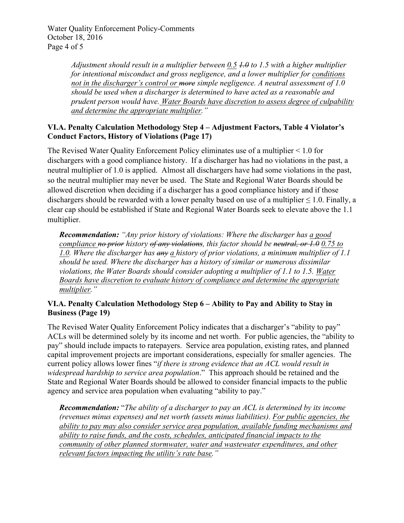Water Quality Enforcement Policy-Comments October 18, 2016 Page 4 of 5

> *Adjustment should result in a multiplier between 0.5 1.0 to 1.5 with a higher multiplier for intentional misconduct and gross negligence, and a lower multiplier for conditions not in the discharger's control or more simple negligence. A neutral assessment of 1.0 should be used when a discharger is determined to have acted as a reasonable and prudent person would have. Water Boards have discretion to assess degree of culpability and determine the appropriate multiplier."*

# **VI.A. Penalty Calculation Methodology Step 4 – Adjustment Factors, Table 4 Violator's Conduct Factors, History of Violations (Page 17)**

The Revised Water Quality Enforcement Policy eliminates use of a multiplier < 1.0 for dischargers with a good compliance history. If a discharger has had no violations in the past, a neutral multiplier of 1.0 is applied. Almost all dischargers have had some violations in the past, so the neutral multiplier may never be used. The State and Regional Water Boards should be allowed discretion when deciding if a discharger has a good compliance history and if those dischargers should be rewarded with a lower penalty based on use of a multiplier  $\leq 1.0$ . Finally, a clear cap should be established if State and Regional Water Boards seek to elevate above the 1.1 multiplier.

*Recommendation: "Any prior history of violations: Where the discharger has a good compliance no prior history of any violations, this factor should be neutral, or 1.0 0.75 to 1.0. Where the discharger has any a history of prior violations, a minimum multiplier of 1.1 should be used. Where the discharger has a history of similar or numerous dissimilar violations, the Water Boards should consider adopting a multiplier of 1.1 to 1.5. Water Boards have discretion to evaluate history of compliance and determine the appropriate multiplier."*

# **VI.A. Penalty Calculation Methodology Step 6 – Ability to Pay and Ability to Stay in Business (Page 19)**

The Revised Water Quality Enforcement Policy indicates that a discharger's "ability to pay" ACLs will be determined solely by its income and net worth. For public agencies, the "ability to pay" should include impacts to ratepayers. Service area population, existing rates, and planned capital improvement projects are important considerations, especially for smaller agencies. The current policy allows lower fines "*if there is strong evidence that an ACL would result in widespread hardship to service area population*." This approach should be retained and the State and Regional Water Boards should be allowed to consider financial impacts to the public agency and service area population when evaluating "ability to pay."

*Recommendation:* "*The ability of a discharger to pay an ACL is determined by its income (revenues minus expenses) and net worth (assets minus liabilities). For public agencies, the ability to pay may also consider service area population, available funding mechanisms and ability to raise funds, and the costs, schedules, anticipated financial impacts to the community of other planned stormwater, water and wastewater expenditures, and other relevant factors impacting the utility's rate base."*